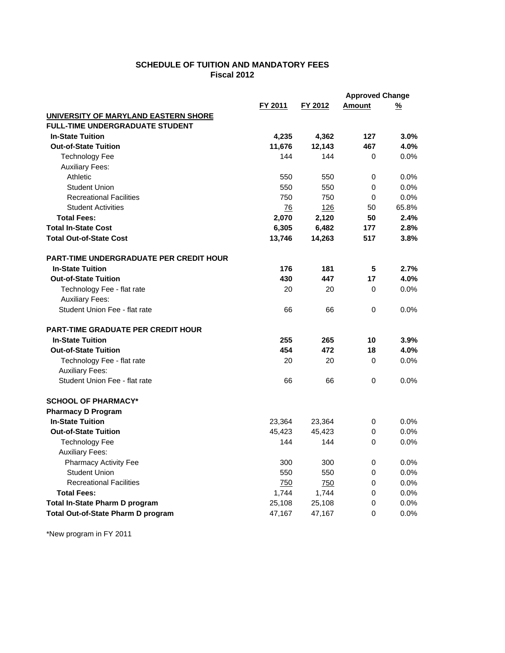## **SCHEDULE OF TUITION AND MANDATORY FEES Fiscal 2012**

|                                                |         |            | <b>Approved Change</b> |          |
|------------------------------------------------|---------|------------|------------------------|----------|
|                                                | FY 2011 | FY 2012    | <b>Amount</b>          | <u>%</u> |
| UNIVERSITY OF MARYLAND EASTERN SHORE           |         |            |                        |          |
| <b>FULL-TIME UNDERGRADUATE STUDENT</b>         |         |            |                        |          |
| <b>In-State Tuition</b>                        | 4,235   | 4,362      | 127                    | 3.0%     |
| <b>Out-of-State Tuition</b>                    | 11,676  | 12,143     | 467                    | 4.0%     |
| <b>Technology Fee</b>                          | 144     | 144        | $\Omega$               | 0.0%     |
| <b>Auxiliary Fees:</b>                         |         |            |                        |          |
| Athletic                                       | 550     | 550        | $\mathbf 0$            | 0.0%     |
| <b>Student Union</b>                           | 550     | 550        | 0                      | 0.0%     |
| <b>Recreational Facilities</b>                 | 750     | 750        | $\mathbf 0$            | 0.0%     |
| <b>Student Activities</b>                      | 76      | <u>126</u> | 50                     | 65.8%    |
| <b>Total Fees:</b>                             | 2,070   | 2,120      | 50                     | 2.4%     |
| <b>Total In-State Cost</b>                     | 6,305   | 6,482      | 177                    | 2.8%     |
| <b>Total Out-of-State Cost</b>                 | 13,746  | 14,263     | 517                    | 3.8%     |
| <b>PART-TIME UNDERGRADUATE PER CREDIT HOUR</b> |         |            |                        |          |
| <b>In-State Tuition</b>                        | 176     | 181        | 5                      | 2.7%     |
| <b>Out-of-State Tuition</b>                    | 430     | 447        | 17                     | 4.0%     |
| Technology Fee - flat rate                     | 20      | 20         | 0                      | 0.0%     |
| <b>Auxiliary Fees:</b>                         |         |            |                        |          |
| Student Union Fee - flat rate                  | 66      | 66         | $\Omega$               | 0.0%     |
| <b>PART-TIME GRADUATE PER CREDIT HOUR</b>      |         |            |                        |          |
| <b>In-State Tuition</b>                        | 255     | 265        | 10                     | 3.9%     |
| <b>Out-of-State Tuition</b>                    | 454     | 472        | 18                     | 4.0%     |
| Technology Fee - flat rate                     | 20      | 20         | $\Omega$               | $0.0\%$  |
| <b>Auxiliary Fees:</b>                         |         |            |                        |          |
| Student Union Fee - flat rate                  | 66      | 66         | 0                      | 0.0%     |
| <b>SCHOOL OF PHARMACY*</b>                     |         |            |                        |          |
| <b>Pharmacy D Program</b>                      |         |            |                        |          |
| <b>In-State Tuition</b>                        | 23,364  | 23,364     | 0                      | $0.0\%$  |
| <b>Out-of-State Tuition</b>                    | 45,423  | 45,423     | 0                      | 0.0%     |
| <b>Technology Fee</b>                          | 144     | 144        | $\Omega$               | 0.0%     |
| <b>Auxiliary Fees:</b>                         |         |            |                        |          |
| <b>Pharmacy Activity Fee</b>                   | 300     | 300        | $\mathbf 0$            | 0.0%     |
| <b>Student Union</b>                           | 550     | 550        | $\Omega$               | 0.0%     |
| <b>Recreational Facilities</b>                 | 750     | 750        | 0                      | 0.0%     |
| <b>Total Fees:</b>                             | 1,744   | 1,744      | 0                      | 0.0%     |
| Total In-State Pharm D program                 | 25,108  | 25,108     | 0                      | 0.0%     |
| <b>Total Out-of-State Pharm D program</b>      | 47,167  | 47,167     | 0                      | 0.0%     |

\*New program in FY 2011